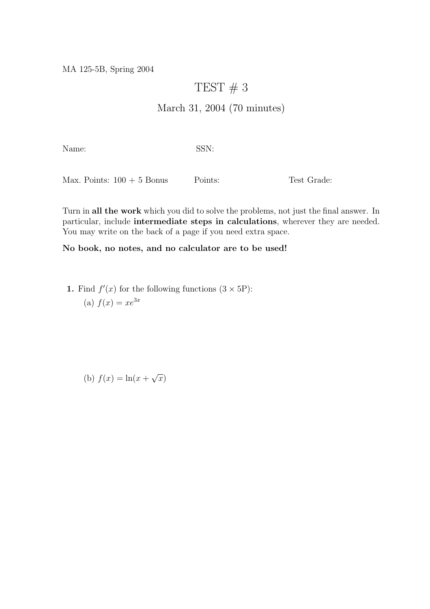MA 125-5B, Spring 2004

## TEST  $# 3$

## March 31, 2004 (70 minutes)

Name: SSN:

Max. Points:  $100 + 5$  Bonus Points: Test Grade:

Turn in all the work which you did to solve the problems, not just the final answer. In particular, include intermediate steps in calculations, wherever they are needed. You may write on the back of a page if you need extra space.

## No book, no notes, and no calculator are to be used!

**1.** Find  $f'(x)$  for the following functions  $(3 \times 5P)$ : (a)  $f(x) = xe^{3x}$ 

(b)  $f(x) = \ln(x +$ √  $\overline{x})$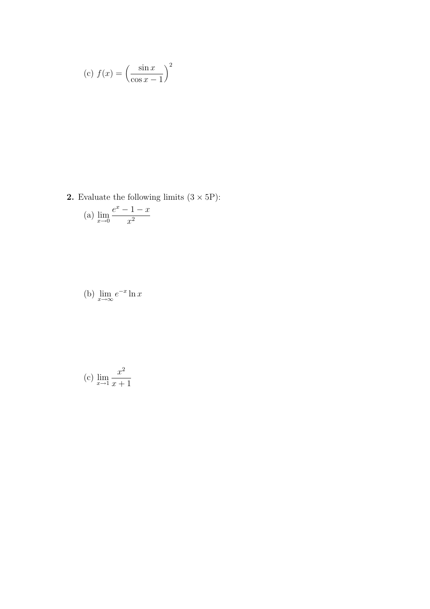(c) 
$$
f(x) = \left(\frac{\sin x}{\cos x - 1}\right)^2
$$

**2.** Evaluate the following limits  $(3 \times 5P)$ :

(a) 
$$
\lim_{x \to 0} \frac{e^x - 1 - x}{x^2}
$$

(b) 
$$
\lim_{x \to \infty} e^{-x} \ln x
$$

(c) 
$$
\lim_{x \to 1} \frac{x^2}{x+1}
$$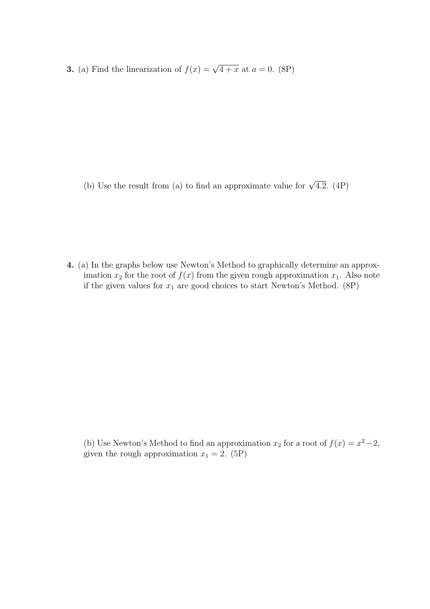**3.** (a) Find the linearization of  $f(x) = \sqrt{4 + x}$  at  $a = 0$ . (8P)

(b) Use the result from (a) to find an approximate value for  $\sqrt{4.2}$ . (4P)

4. (a) In the graphs below use Newton's Method to graphically determine an approximation  $x_2$  for the root of  $f(x)$  from the given rough approximation  $x_1$ . Also note if the given values for  $x_1$  are good choices to start Newton's Method. (8P)

(b) Use Newton's Method to find an approximation  $x_2$  for a root of  $f(x) = x^2 - 2$ , given the rough approximation  $x_1 = 2$ . (5P)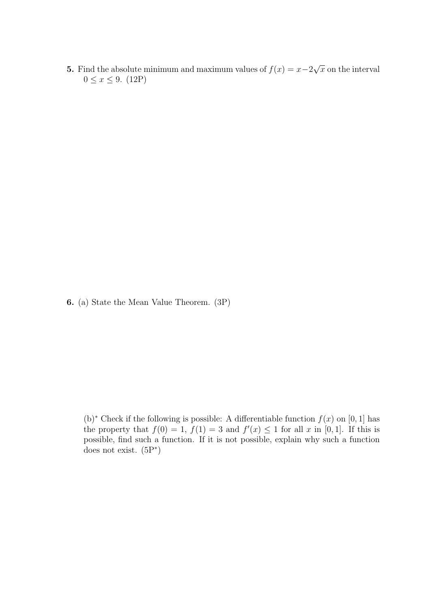5. Find the absolute minimum and maximum values of  $f(x) = x-2$ √  $\bar{x}$  on the interval  $0 \le x \le 9.$  (12P)

6. (a) State the Mean Value Theorem. (3P)

(b)<sup>∗</sup> Check if the following is possible: A differentiable function  $f(x)$  on [0, 1] has the property that  $f(0) = 1$ ,  $f(1) = 3$  and  $f'(x) \le 1$  for all x in [0, 1]. If this is possible, find such a function. If it is not possible, explain why such a function does not exist. (5P<sup>∗</sup> )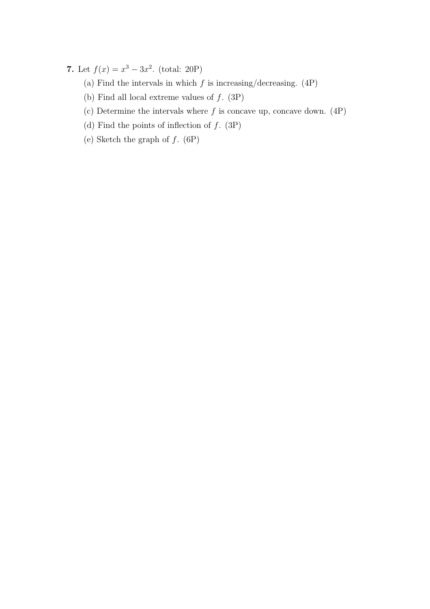7. Let  $f(x) = x^3 - 3x^2$ . (total: 20P)

- (a) Find the intervals in which  $f$  is increasing/decreasing. (4P)
- (b) Find all local extreme values of  $f.$  (3P)
- (c) Determine the intervals where  $f$  is concave up, concave down.  $(4P)$
- (d) Find the points of inflection of  $f$ . (3P)
- (e) Sketch the graph of  $f.$  (6P)